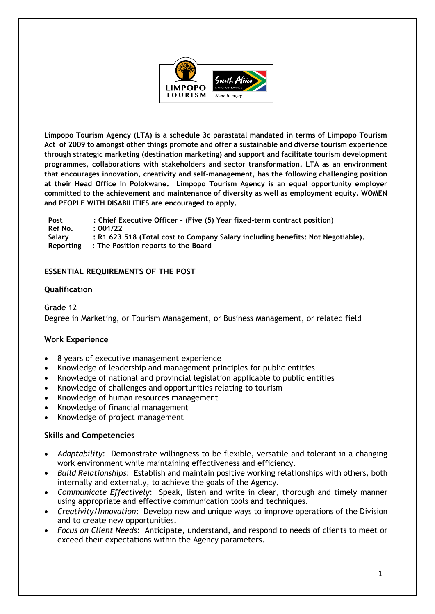

**Limpopo Tourism Agency (LTA) is a schedule 3c parastatal mandated in terms of Limpopo Tourism Act of 2009 to amongst other things promote and offer a sustainable and diverse tourism experience through strategic marketing (destination marketing) and support and facilitate tourism development programmes, collaborations with stakeholders and sector transformation. LTA as an environment that encourages innovation, creativity and self-management, has the following challenging position at their Head Office in Polokwane. Limpopo Tourism Agency is an equal opportunity employer committed to the achievement and maintenance of diversity as well as employment equity. WOMEN and PEOPLE WITH DISABILITIES are encouraged to apply.**

**Post : Chief Executive Officer – (Five (5) Year fixed-term contract position) Ref No. : 001/22 Salary : R1 623 518 (Total cost to Company Salary including benefits: Not Negotiable). Reporting : The Position reports to the Board**

### **ESSENTIAL REQUIREMENTS OF THE POST**

### **Qualification**

Grade 12 Degree in Marketing, or Tourism Management, or Business Management, or related field

### **Work Experience**

- 8 years of executive management experience
- Knowledge of leadership and management principles for public entities
- Knowledge of national and provincial legislation applicable to public entities
- Knowledge of challenges and opportunities relating to tourism
- Knowledge of human resources management
- Knowledge of financial management
- Knowledge of project management

## **Skills and Competencies**

- *Adaptability*: Demonstrate willingness to be flexible, versatile and tolerant in a changing work environment while maintaining effectiveness and efficiency.
- *Build Relationships*: Establish and maintain positive working relationships with others, both internally and externally, to achieve the goals of the Agency.
- *Communicate Effectively*: Speak, listen and write in clear, thorough and timely manner using appropriate and effective communication tools and techniques.
- *Creativity/Innovation*: Develop new and unique ways to improve operations of the Division and to create new opportunities.
- *Focus on Client Needs*: Anticipate, understand, and respond to needs of clients to meet or exceed their expectations within the Agency parameters.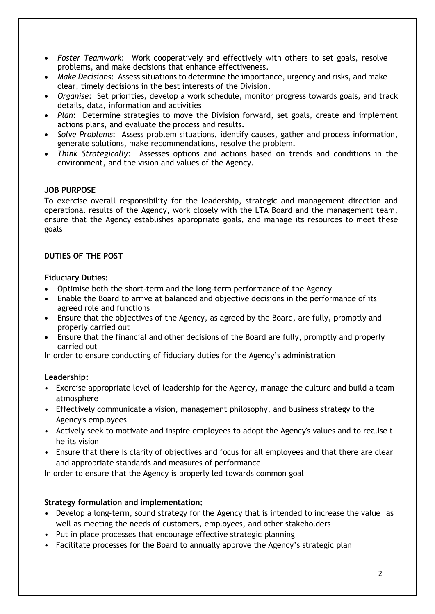- *Foster Teamwork*: Work cooperatively and effectively with others to set goals, resolve problems, and make decisions that enhance effectiveness.
- *Make Decisions*: Assess situations to determine the importance, urgency and risks, and make clear, timely decisions in the best interests of the Division.
- *Organise*: Set priorities, develop a work schedule, monitor progress towards goals, and track details, data, information and activities
- *Plan*: Determine strategies to move the Division forward, set goals, create and implement actions plans, and evaluate the process and results.
- *Solve Problems*: Assess problem situations, identify causes, gather and process information, generate solutions, make recommendations, resolve the problem.
- *Think Strategically*: Assesses options and actions based on trends and conditions in the environment, and the vision and values of the Agency.

### **JOB PURPOSE**

To exercise overall responsibility for the leadership, strategic and management direction and operational results of the Agency, work closely with the LTA Board and the management team, ensure that the Agency establishes appropriate goals, and manage its resources to meet these goals

### **DUTIES OF THE POST**

### **Fiduciary Duties:**

- Optimise both the short-term and the long-term performance of the Agency
- Enable the Board to arrive at balanced and objective decisions in the performance of its agreed role and functions
- Ensure that the objectives of the Agency, as agreed by the Board, are fully, promptly and properly carried out
- Ensure that the financial and other decisions of the Board are fully, promptly and properly carried out

In order to ensure conducting of fiduciary duties for the Agency's administration

## **Leadership:**

- Exercise appropriate level of leadership for the Agency, manage the culture and build a team atmosphere
- Effectively communicate a vision, management philosophy, and business strategy to the Agency's employees
- Actively seek to motivate and inspire employees to adopt the Agency's values and to realise t he its vision
- Ensure that there is clarity of objectives and focus for all employees and that there are clear and appropriate standards and measures of performance

In order to ensure that the Agency is properly led towards common goal

## **Strategy formulation and implementation:**

- **•** Develop a long-term, sound strategy for the Agency that is intended to increase the value as well as meeting the needs of customers, employees, and other stakeholders
- Put in place processes that encourage effective strategic planning
- Facilitate processes for the Board to annually approve the Agency's strategic plan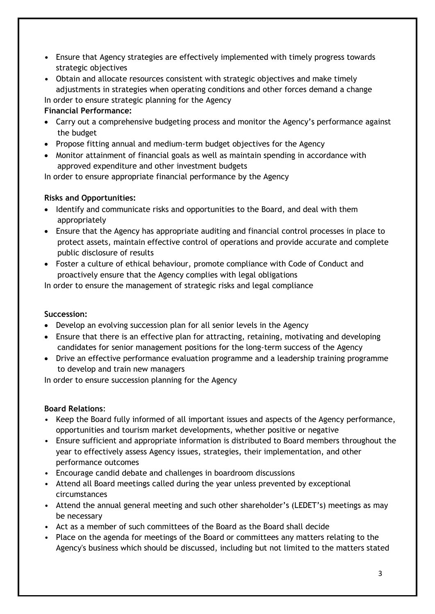- **•** Ensure that Agency strategies are effectively implemented with timely progress towards strategic objectives
- **•** Obtain and allocate resources consistent with strategic objectives and make timely adjustments in strategies when operating conditions and other forces demand a change

In order to ensure strategic planning for the Agency

## **Financial Performance:**

- Carry out a comprehensive budgeting process and monitor the Agency's performance against the budget
- Propose fitting annual and medium-term budget objectives for the Agency
- Monitor attainment of financial goals as well as maintain spending in accordance with approved expenditure and other investment budgets

In order to ensure appropriate financial performance by the Agency

# **Risks and Opportunities:**

- Identify and communicate risks and opportunities to the Board, and deal with them appropriately
- Ensure that the Agency has appropriate auditing and financial control processes in place to protect assets, maintain effective control of operations and provide accurate and complete public disclosure of results
- Foster a culture of ethical behaviour, promote compliance with Code of Conduct and proactively ensure that the Agency complies with legal obligations

In order to ensure the management of strategic risks and legal compliance

# **Succession:**

- Develop an evolving succession plan for all senior levels in the Agency
- Ensure that there is an effective plan for attracting, retaining, motivating and developing candidates for senior management positions for the long-term success of the Agency
- Drive an effective performance evaluation programme and a leadership training programme to develop and train new managers

In order to ensure succession planning for the Agency

# **Board Relations**:

- Keep the Board fully informed of all important issues and aspects of the Agency performance, opportunities and tourism market developments, whether positive or negative
- Ensure sufficient and appropriate information is distributed to Board members throughout the year to effectively assess Agency issues, strategies, their implementation, and other performance outcomes
- Encourage candid debate and challenges in boardroom discussions
- Attend all Board meetings called during the year unless prevented by exceptional circumstances
- Attend the annual general meeting and such other shareholder's (LEDET's) meetings as may be necessary
- Act as a member of such committees of the Board as the Board shall decide
- Place on the agenda for meetings of the Board or committees any matters relating to the Agency's business which should be discussed, including but not limited to the matters stated